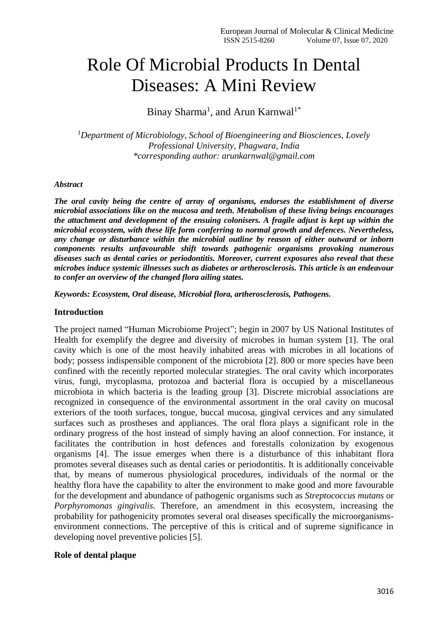# Role Of Microbial Products In Dental Diseases: A Mini Review

Binay Sharma<sup>1</sup>, and Arun Karnwal<sup>1\*</sup>

*<sup>1</sup>Department of Microbiology, School of Bioengineering and Biosciences, Lovely Professional University, Phagwara, India \*corresponding author: arunkarnwal@gmail.com*

#### *Abstract*

*The oral cavity being the centre of array of organisms, endorses the establishment of diverse microbial associations like on the mucosa and teeth. Metabolism of these living beings encourages the attachment and development of the ensuing colonisers. A fragile adjust is kept up within the microbial ecosystem, with these life form conferring to normal growth and defences. Nevertheless, any change or disturbance within the microbial outline by reason of either outward or inborn components results unfavourable shift towards pathogenic organisms provoking numerous diseases such as dental caries or periodontitis. Moreover, current exposures also reveal that these microbes induce systemic illnesses such as diabetes or artherosclerosis. This article is an endeavour to confer an overview of the changed flora ailing states.* 

*Keywords: Ecosystem, Oral disease, Microbial flora, artherosclerosis, Pathogens.*

#### **Introduction**

The project named "Human Microbiome Project"; begin in 2007 by US National Institutes of Health for exemplify the degree and diversity of microbes in human system [1]. The oral cavity which is one of the most heavily inhabited areas with microbes in all locations of body; possess indispensible component of the microbiota [2]. 800 or more species have been confined with the recently reported molecular strategies. The oral cavity which incorporates virus, fungi, mycoplasma, protozoa and bacterial flora is occupied by a miscellaneous microbiota in which bacteria is the leading group [3]. Discrete microbial associations are recognized in consequence of the environmental assortment in the oral cavity on mucosal exteriors of the tooth surfaces, tongue, buccal mucosa, gingival cervices and any simulated surfaces such as prostheses and appliances. The oral flora plays a significant role in the ordinary progress of the host instead of simply having an aloof connection. For instance, it facilitates the contribution in host defences and forestalls colonization by exogenous organisms [4]. The issue emerges when there is a disturbance of this inhabitant flora promotes several diseases such as dental caries or periodontitis. It is additionally conceivable that, by means of numerous physiological procedures, individuals of the normal or the healthy flora have the capability to alter the environment to make good and more favourable for the development and abundance of pathogenic organisms such as *Streptococcus mutans* or *Porphyromonas gingivalis.* Therefore, an amendment in this ecosystem, increasing the probability for pathogenicity promotes several oral diseases specifically the microorganismsenvironment connections. The perceptive of this is critical and of supreme significance in developing novel preventive policies [5].

#### **Role of dental plaque**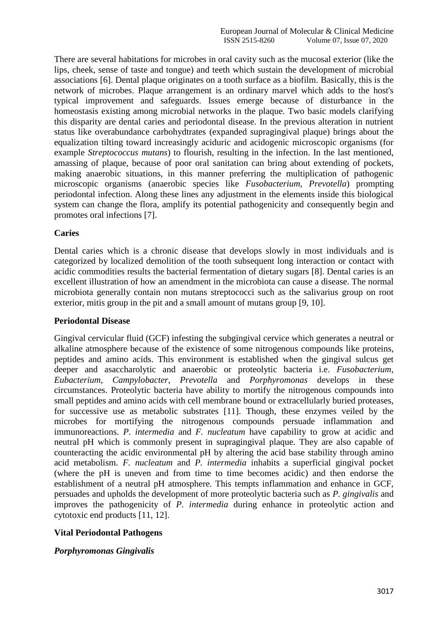There are several habitations for microbes in oral cavity such as the mucosal exterior (like the lips, cheek, sense of taste and tongue) and teeth which sustain the development of microbial associations [6]. Dental plaque originates on a tooth surface as a biofilm. Basically, this is the network of microbes. Plaque arrangement is an ordinary marvel which adds to the host's typical improvement and safeguards. Issues emerge because of disturbance in the homeostasis existing among microbial networks in the plaque. Two basic models clarifying this disparity are dental caries and periodontal disease. In the previous alteration in nutrient status like overabundance carbohydtrates (expanded supragingival plaque) brings about the equalization tilting toward increasingly aciduric and acidogenic microscopic organisms (for example *Streptococcus mutans*) to flourish, resulting in the infection. In the last mentioned, amassing of plaque, because of poor oral sanitation can bring about extending of pockets, making anaerobic situations, in this manner preferring the multiplication of pathogenic microscopic organisms (anaerobic species like *Fusobacterium*, *Prevotella*) prompting periodontal infection. Along these lines any adjustment in the elements inside this biological system can change the flora, amplify its potential pathogenicity and consequently begin and promotes oral infections [7].

#### **Caries**

Dental caries which is a chronic disease that develops slowly in most individuals and is categorized by localized demolition of the tooth subsequent long interaction or contact with acidic commodities results the bacterial fermentation of dietary sugars [8]. Dental caries is an excellent illustration of how an amendment in the microbiota can cause a disease. The normal microbiota generally contain non mutans streptococci such as the salivarius group on root exterior, mitis group in the pit and a small amount of mutans group [9, 10].

#### **Periodontal Disease**

Gingival cervicular fluid (GCF) infesting the subgingival cervice which generates a neutral or alkaline atmosphere because of the existence of some nitrogenous compounds like proteins, peptides and amino acids. This environment is established when the gingival sulcus get deeper and asaccharolytic and anaerobic or proteolytic bacteria i.e. *Fusobacterium*, *Eubacterium*, *Campylobacter*, *Prevotella* and *Porphyromonas* develops in these circumstances. Proteolytic bacteria have ability to mortify the nitrogenous compounds into small peptides and amino acids with cell membrane bound or extracellularly buried proteases, for successive use as metabolic substrates [11]. Though, these enzymes veiled by the microbes for mortifying the nitrogenous compounds persuade inflammation and immunoreactions. *P. intermedia* and *F. nucleatum* have capability to grow at acidic and neutral pH which is commonly present in supragingival plaque. They are also capable of counteracting the acidic environmental pH by altering the acid base stability through amino acid metabolism. *F. nucleatum* and *P. intermedia* inhabits a superficial gingival pocket (where the pH is uneven and from time to time becomes acidic) and then endorse the establishment of a neutral pH atmosphere. This tempts inflammation and enhance in GCF, persuades and upholds the development of more proteolytic bacteria such as *P. gingivalis* and improves the pathogenicity of *P. intermedia* during enhance in proteolytic action and cytotoxic end products [11, 12].

#### **Vital Periodontal Pathogens**

#### *Porphyromonas Gingivalis*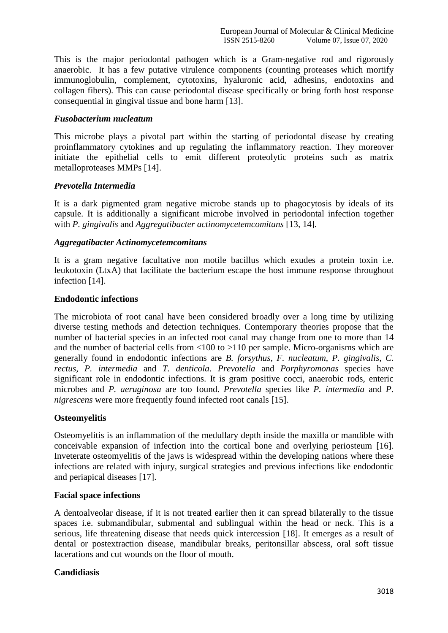This is the major periodontal pathogen which is a Gram-negative rod and rigorously anaerobic. It has a few putative virulence components (counting proteases which mortify immunoglobulin, complement, cytotoxins, hyaluronic acid, adhesins, endotoxins and collagen fibers). This can cause periodontal disease specifically or bring forth host response consequential in gingival tissue and bone harm [13].

#### *Fusobacterium nucleatum*

This microbe plays a pivotal part within the starting of periodontal disease by creating proinflammatory cytokines and up regulating the inflammatory reaction. They moreover initiate the epithelial cells to emit different proteolytic proteins such as matrix metalloproteases MMPs [14].

## *Prevotella Intermedia*

It is a dark pigmented gram negative microbe stands up to phagocytosis by ideals of its capsule. It is additionally a significant microbe involved in periodontal infection together with *P. gingivalis* and *Aggregatibacter actinomycetemcomitans* [13, 14]*.*

#### *Aggregatibacter Actinomycetemcomitans*

It is a gram negative facultative non motile bacillus which exudes a protein toxin i.e. leukotoxin (LtxA) that facilitate the bacterium escape the host immune response throughout infection [14].

## **Endodontic infections**

The microbiota of root canal have been considered broadly over a long time by utilizing diverse testing methods and detection techniques. Contemporary theories propose that the number of bacterial species in an infected root canal may change from one to more than 14 and the number of bacterial cells from <100 to >110 per sample. Micro-organisms which are generally found in endodontic infections are *B. forsythus*, *F. nucleatum*, *P. gingivalis*, *C. rectus, P. intermedia* and *T. denticola*. *Prevotella* and *Porphyromonas* species have significant role in endodontic infections. It is gram positive cocci, anaerobic rods, enteric microbes and *P. aeruginosa* are too found. *Prevotella* species like *P. intermedia* and *P. nigrescens* were more frequently found infected root canals [15].

# **Osteomyelitis**

Osteomyelitis is an inflammation of the medullary depth inside the maxilla or mandible with conceivable expansion of infection into the cortical bone and overlying periosteum [16]. Inveterate osteomyelitis of the jaws is widespread within the developing nations where these infections are related with injury, surgical strategies and previous infections like endodontic and periapical diseases [17].

# **Facial space infections**

A dentoalveolar disease, if it is not treated earlier then it can spread bilaterally to the tissue spaces i.e. submandibular, submental and sublingual within the head or neck. This is a serious, life threatening disease that needs quick intercession [18]. It emerges as a result of dental or postextraction disease, mandibular breaks, peritonsillar abscess, oral soft tissue lacerations and cut wounds on the floor of mouth.

# **Candidiasis**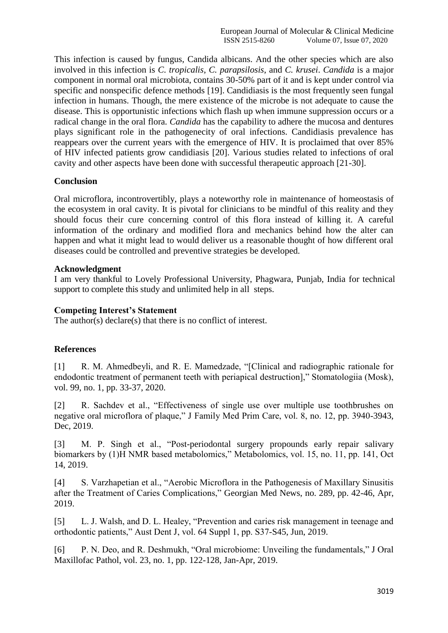This infection is caused by fungus, Candida albicans. And the other species which are also involved in this infection is *C. tropicalis*, *C. parapsilosis*, and *C. krusei*. *Candida* is a major component in normal oral microbiota, contains 30-50% part of it and is kept under control via specific and nonspecific defence methods [19]. Candidiasis is the most frequently seen fungal infection in humans. Though, the mere existence of the microbe is not adequate to cause the disease. This is opportunistic infections which flash up when immune suppression occurs or a radical change in the oral flora. *Candida* has the capability to adhere the mucosa and dentures plays significant role in the pathogenecity of oral infections. Candidiasis prevalence has reappears over the current years with the emergence of HIV. It is proclaimed that over 85% of HIV infected patients grow candidiasis [20]. Various studies related to infections of oral cavity and other aspects have been done with successful therapeutic approach [21-30].

## **Conclusion**

Oral microflora, incontrovertibly, plays a noteworthy role in maintenance of homeostasis of the ecosystem in oral cavity. It is pivotal for clinicians to be mindful of this reality and they should focus their cure concerning control of this flora instead of killing it. A careful information of the ordinary and modified flora and mechanics behind how the alter can happen and what it might lead to would deliver us a reasonable thought of how different oral diseases could be controlled and preventive strategies be developed.

## **Acknowledgment**

I am very thankful to Lovely Professional University, Phagwara, Punjab, India for technical support to complete this study and unlimited help in all steps.

## **Competing Interest's Statement**

The author(s) declare(s) that there is no conflict of interest.

# **References**

[1] R. M. Ahmedbeyli, and R. E. Mamedzade, "[Clinical and radiographic rationale for endodontic treatment of permanent teeth with periapical destruction]," Stomatologiia (Mosk), vol. 99, no. 1, pp. 33-37, 2020.

[2] R. Sachdev et al., "Effectiveness of single use over multiple use toothbrushes on negative oral microflora of plaque," J Family Med Prim Care, vol. 8, no. 12, pp. 3940-3943, Dec, 2019.

[3] M. P. Singh et al., "Post-periodontal surgery propounds early repair salivary biomarkers by (1)H NMR based metabolomics," Metabolomics, vol. 15, no. 11, pp. 141, Oct 14, 2019.

[4] S. Varzhapetian et al., "Aerobic Microflora in the Pathogenesis of Maxillary Sinusitis after the Treatment of Caries Complications," Georgian Med News, no. 289, pp. 42-46, Apr, 2019.

[5] L. J. Walsh, and D. L. Healey, "Prevention and caries risk management in teenage and orthodontic patients," Aust Dent J, vol. 64 Suppl 1, pp. S37-S45, Jun, 2019.

[6] P. N. Deo, and R. Deshmukh, "Oral microbiome: Unveiling the fundamentals," J Oral Maxillofac Pathol, vol. 23, no. 1, pp. 122-128, Jan-Apr, 2019.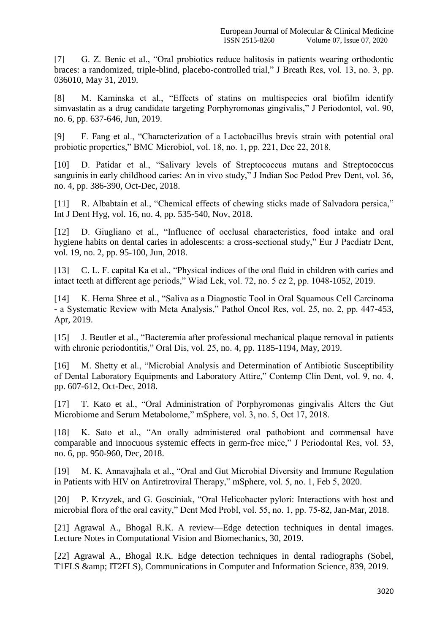[7] G. Z. Benic et al., "Oral probiotics reduce halitosis in patients wearing orthodontic braces: a randomized, triple-blind, placebo-controlled trial," J Breath Res, vol. 13, no. 3, pp. 036010, May 31, 2019.

[8] M. Kaminska et al., "Effects of statins on multispecies oral biofilm identify simvastatin as a drug candidate targeting Porphyromonas gingivalis," J Periodontol, vol. 90, no. 6, pp. 637-646, Jun, 2019.

[9] F. Fang et al., "Characterization of a Lactobacillus brevis strain with potential oral probiotic properties," BMC Microbiol, vol. 18, no. 1, pp. 221, Dec 22, 2018.

[10] D. Patidar et al., "Salivary levels of Streptococcus mutans and Streptococcus sanguinis in early childhood caries: An in vivo study," J Indian Soc Pedod Prev Dent, vol. 36, no. 4, pp. 386-390, Oct-Dec, 2018.

[11] R. Albabtain et al., "Chemical effects of chewing sticks made of Salvadora persica," Int J Dent Hyg, vol. 16, no. 4, pp. 535-540, Nov, 2018.

[12] D. Giugliano et al., "Influence of occlusal characteristics, food intake and oral hygiene habits on dental caries in adolescents: a cross-sectional study," Eur J Paediatr Dent, vol. 19, no. 2, pp. 95-100, Jun, 2018.

[13] C. L. F. capital Ka et al., "Physical indices of the oral fluid in children with caries and intact teeth at different age periods," Wiad Lek, vol. 72, no. 5 cz 2, pp. 1048-1052, 2019.

[14] K. Hema Shree et al., "Saliva as a Diagnostic Tool in Oral Squamous Cell Carcinoma - a Systematic Review with Meta Analysis," Pathol Oncol Res, vol. 25, no. 2, pp. 447-453, Apr, 2019.

[15] J. Beutler et al., "Bacteremia after professional mechanical plaque removal in patients with chronic periodontitis," Oral Dis, vol. 25, no. 4, pp. 1185-1194, May, 2019.

[16] M. Shetty et al., "Microbial Analysis and Determination of Antibiotic Susceptibility of Dental Laboratory Equipments and Laboratory Attire," Contemp Clin Dent, vol. 9, no. 4, pp. 607-612, Oct-Dec, 2018.

[17] T. Kato et al., "Oral Administration of Porphyromonas gingivalis Alters the Gut Microbiome and Serum Metabolome," mSphere, vol. 3, no. 5, Oct 17, 2018.

[18] K. Sato et al., "An orally administered oral pathobiont and commensal have comparable and innocuous systemic effects in germ-free mice," J Periodontal Res, vol. 53, no. 6, pp. 950-960, Dec, 2018.

[19] M. K. Annavajhala et al., "Oral and Gut Microbial Diversity and Immune Regulation in Patients with HIV on Antiretroviral Therapy," mSphere, vol. 5, no. 1, Feb 5, 2020.

[20] P. Krzyzek, and G. Gosciniak, "Oral Helicobacter pylori: Interactions with host and microbial flora of the oral cavity," Dent Med Probl, vol. 55, no. 1, pp. 75-82, Jan-Mar, 2018.

[21] Agrawal A., Bhogal R.K. A review—Edge detection techniques in dental images. Lecture Notes in Computational Vision and Biomechanics, 30, 2019.

[22] Agrawal A., Bhogal R.K. Edge detection techniques in dental radiographs (Sobel, T1FLS & amp; IT2FLS), Communications in Computer and Information Science, 839, 2019.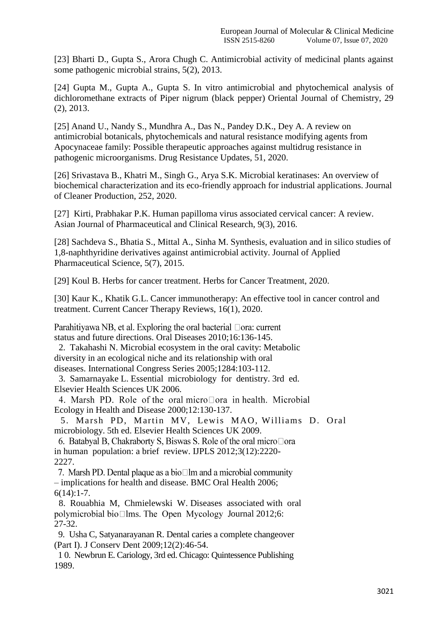[23] Bharti D., Gupta S., Arora Chugh C. Antimicrobial activity of medicinal plants against some pathogenic microbial strains, 5(2), 2013.

[24] Gupta M., Gupta A., Gupta S. In vitro antimicrobial and phytochemical analysis of dichloromethane extracts of Piper nigrum (black pepper) Oriental Journal of Chemistry, 29 (2), 2013.

[25] Anand U., Nandy S., Mundhra A., Das N., Pandey D.K., Dey A. A review on antimicrobial botanicals, phytochemicals and natural resistance modifying agents from Apocynaceae family: Possible therapeutic approaches against multidrug resistance in pathogenic microorganisms. Drug Resistance Updates, 51, 2020.

[26] Srivastava B., Khatri M., Singh G., Arya S.K. Microbial keratinases: An overview of biochemical characterization and its eco-friendly approach for industrial applications. Journal of Cleaner Production, 252, 2020.

[27] Kirti, Prabhakar P.K. Human papilloma virus associated cervical cancer: A review. Asian Journal of Pharmaceutical and Clinical Research, 9(3), 2016.

[28] Sachdeva S., Bhatia S., Mittal A., Sinha M. Synthesis, evaluation and in silico studies of 1,8-naphthyridine derivatives against antimicrobial activity. Journal of Applied Pharmaceutical Science, 5(7), 2015.

[29] Koul B. Herbs for cancer treatment. Herbs for Cancer Treatment, 2020.

[30] Kaur K., Khatik G.L. Cancer immunotherapy: An effective tool in cancer control and treatment. Current Cancer Therapy Reviews, 16(1), 2020.

Parahitiyawa NB, et al. Exploring the oral bacterial  $\Box$ ora: current status and future directions. Oral Diseases 2010;16:136-145.

 2. Takahashi N. Microbial ecosystem in the oral cavity: Metabolic diversity in an ecological niche and its relationship with oral diseases. International Congress Series 2005;1284:103-112.

 3. Samarnayake L. Essential microbiology for dentistry. 3rd ed. Elsevier Health Sciences UK 2006.

4. Marsh PD. Role of the oral microDora in health. Microbial Ecology in Health and Disease 2000;12:130-137.

 5. Marsh PD, Martin MV, Lewis MAO, Williams D. Oral microbiology. 5th ed. Elsevier Health Sciences UK 2009.

6. Batabyal B, Chakraborty S, Biswas S. Role of the oral micro $\Box$ ora in human population: a brief review. IJPLS 2012;3(12):2220- 2227.

7. Marsh PD. Dental plaque as a bio $\square$  lm and a microbial community – implications for health and disease. BMC Oral Health 2006; 6(14):1-7.

 8. Rouabhia M, Chmielewski W. Diseases associated with oral polymicrobial bio $\square$ lms. The Open Mycology Journal 2012;6: 27-32.

 9. Usha C, Satyanarayanan R. Dental caries a complete changeover (Part I). J Conserv Dent 2009;12(2):46-54.

 1 0. Newbrun E. Cariology, 3rd ed. Chicago: Quintessence Publishing 1989.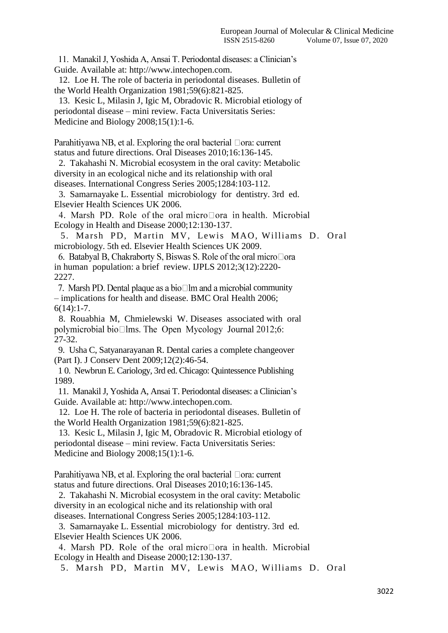11. Manakil J, Yoshida A, Ansai T. Periodontal diseases: a Clinician's Guide. Available at: http://www.intechopen.com.

 12. Loe H. The role of bacteria in periodontal diseases. Bulletin of the World Health Organization 1981;59(6):821-825.

 13. Kesic L, Milasin J, Igic M, Obradovic R. Microbial etiology of periodontal disease – mini review. Facta Universitatis Series: Medicine and Biology 2008;15(1):1-6.

Parahitiyawa NB, et al. Exploring the oral bacterial □ora: current status and future directions. Oral Diseases 2010;16:136-145.

 2. Takahashi N. Microbial ecosystem in the oral cavity: Metabolic diversity in an ecological niche and its relationship with oral diseases. International Congress Series 2005;1284:103-112.

 3. Samarnayake L. Essential microbiology for dentistry. 3rd ed. Elsevier Health Sciences UK 2006.

4. Marsh PD. Role of the oral micro $\Box$ ora in health. Microbial Ecology in Health and Disease 2000;12:130-137.

 5. Marsh PD, Martin MV, Lewis MAO, Williams D. Oral microbiology. 5th ed. Elsevier Health Sciences UK 2009.

6. Batabyal B, Chakraborty S, Biswas S. Role of the oral micro□ora in human population: a brief review. IJPLS 2012;3(12):2220- 2227.

7. Marsh PD. Dental plaque as a bio $\square$ lm and a microbial community – implications for health and disease. BMC Oral Health 2006; 6(14):1-7.

 8. Rouabhia M, Chmielewski W. Diseases associated with oral polymicrobial bio $\square$ lms. The Open Mycology Journal 2012;6: 27-32.

 9. Usha C, Satyanarayanan R. Dental caries a complete changeover (Part I). J Conserv Dent 2009;12(2):46-54.

 1 0. Newbrun E. Cariology, 3rd ed. Chicago: Quintessence Publishing 1989.

 11. Manakil J, Yoshida A, Ansai T. Periodontal diseases: a Clinician's Guide. Available at: http://www.intechopen.com.

 12. Loe H. The role of bacteria in periodontal diseases. Bulletin of the World Health Organization 1981;59(6):821-825.

 13. Kesic L, Milasin J, Igic M, Obradovic R. Microbial etiology of periodontal disease – mini review. Facta Universitatis Series: Medicine and Biology 2008;15(1):1-6.

Parahitiyawa NB, et al. Exploring the oral bacterial  $\Box$ ora: current status and future directions. Oral Diseases 2010;16:136-145.

 2. Takahashi N. Microbial ecosystem in the oral cavity: Metabolic diversity in an ecological niche and its relationship with oral diseases. International Congress Series 2005;1284:103-112.

 3. Samarnayake L. Essential microbiology for dentistry. 3rd ed. Elsevier Health Sciences UK 2006.

4. Marsh PD. Role of the oral microDora in health. Microbial Ecology in Health and Disease 2000;12:130-137.

5. Marsh PD, Martin MV, Lewis MAO, Williams D. Oral